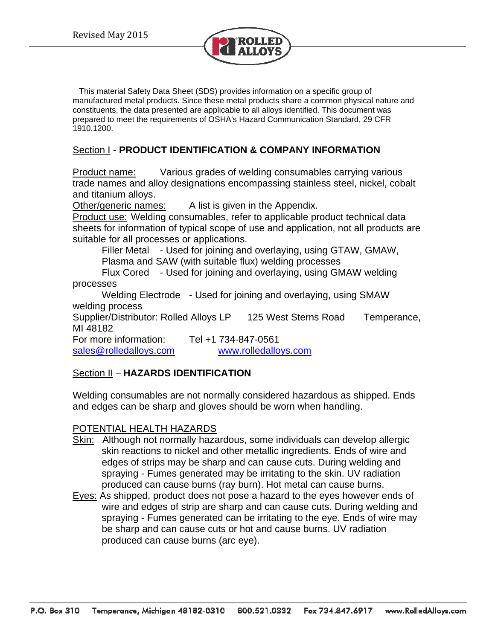

 This material Safety Data Sheet (SDS) provides information on a specific group of manufactured metal products. Since these metal products share a common physical nature and constituents, the data presented are applicable to all alloys identified. This document was prepared to meet the requirements of OSHA's Hazard Communication Standard, 29 CFR 1910.1200.

## Section I - **PRODUCT IDENTIFICATION & COMPANY INFORMATION**

**Product name:** Various grades of welding consumables carrying various trade names and alloy designations encompassing stainless steel, nickel, cobalt and titanium alloys.

Other/generic names: A list is given in the Appendix.

Product use: Welding consumables, refer to applicable product technical data sheets for information of typical scope of use and application, not all products are suitable for all processes or applications.

Filler Metal - Used for joining and overlaying, using GTAW, GMAW, Plasma and SAW (with suitable flux) welding processes

Flux Cored - Used for joining and overlaying, using GMAW welding processes

Welding Electrode - Used for joining and overlaying, using SMAW welding process

Supplier/Distributor: Rolled Alloys LP 125 West Sterns Road Temperance, MI 48182

For more information: Tel +1 734-847-0561 sales@rolledalloys.com www.rolledalloys.com

## Section II – **HAZARDS IDENTIFICATION**

Welding consumables are not normally considered hazardous as shipped. Ends and edges can be sharp and gloves should be worn when handling.

## POTENTIAL HEALTH HAZARDS

- Skin: Although not normally hazardous, some individuals can develop allergic skin reactions to nickel and other metallic ingredients. Ends of wire and edges of strips may be sharp and can cause cuts. During welding and spraying - Fumes generated may be irritating to the skin. UV radiation produced can cause burns (ray burn). Hot metal can cause burns.
- Eyes: As shipped, product does not pose a hazard to the eyes however ends of wire and edges of strip are sharp and can cause cuts. During welding and spraying - Fumes generated can be irritating to the eye. Ends of wire may be sharp and can cause cuts or hot and cause burns. UV radiation produced can cause burns (arc eye).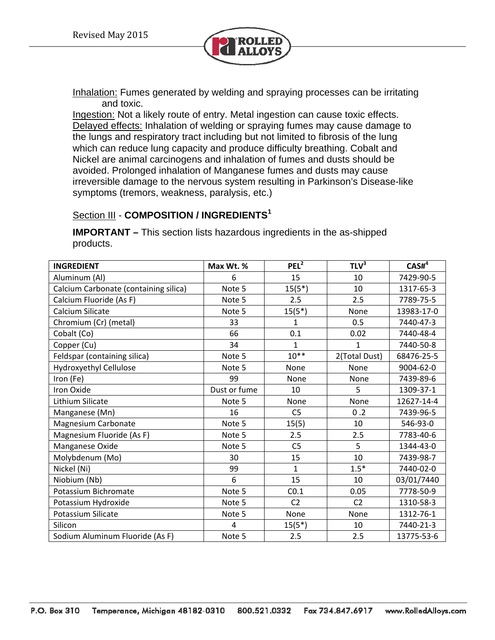

Inhalation: Fumes generated by welding and spraying processes can be irritating and toxic.

Ingestion: Not a likely route of entry. Metal ingestion can cause toxic effects. Delayed effects: Inhalation of welding or spraying fumes may cause damage to the lungs and respiratory tract including but not limited to fibrosis of the lung which can reduce lung capacity and produce difficulty breathing. Cobalt and Nickel are animal carcinogens and inhalation of fumes and dusts should be avoided. Prolonged inhalation of Manganese fumes and dusts may cause irreversible damage to the nervous system resulting in Parkinson's Disease-like symptoms (tremors, weakness, paralysis, etc.)

## Section III - **COMPOSITION / INGREDIENTS<sup>1</sup>**

**IMPORTANT –** This section lists hazardous ingredients in the as-shipped products.

| <b>INGREDIENT</b>                     | Max Wt. %    | PEL <sup>2</sup> | TLV <sup>3</sup> | CASH <sup>4</sup> |
|---------------------------------------|--------------|------------------|------------------|-------------------|
| Aluminum (Al)                         | 6            | 15               | 10               | 7429-90-5         |
| Calcium Carbonate (containing silica) | Note 5       | $15(5*)$         | 10               | 1317-65-3         |
| Calcium Fluoride (As F)               | Note 5       | 2.5              | 2.5              | 7789-75-5         |
| Calcium Silicate                      | Note 5       | $15(5^*)$        | None             | 13983-17-0        |
| Chromium (Cr) (metal)                 | 33           | $\mathbf{1}$     | 0.5              | 7440-47-3         |
| Cobalt (Co)                           | 66           | 0.1              | 0.02             | 7440-48-4         |
| Copper (Cu)                           | 34           | $\mathbf{1}$     | $\mathbf{1}$     | 7440-50-8         |
| Feldspar (containing silica)          | Note 5       | $10***$          | 2(Total Dust)    | 68476-25-5        |
| Hydroxyethyl Cellulose                | Note 5       | None             | None             | 9004-62-0         |
| Iron (Fe)                             | 99           | None             | None             | 7439-89-6         |
| Iron Oxide                            | Dust or fume | 10               | 5                | 1309-37-1         |
| Lithium Silicate                      | Note 5       | None             | None             | 12627-14-4        |
| Manganese (Mn)                        | 16           | C <sub>5</sub>   | 0.2              | 7439-96-5         |
| Magnesium Carbonate                   | Note 5       | 15(5)            | 10               | 546-93-0          |
| Magnesium Fluoride (As F)             | Note 5       | 2.5              | 2.5              | 7783-40-6         |
| Manganese Oxide                       | Note 5       | C <sub>5</sub>   | 5                | 1344-43-0         |
| Molybdenum (Mo)                       | 30           | 15               | 10               | 7439-98-7         |
| Nickel (Ni)                           | 99           | $\mathbf 1$      | $1.5*$           | 7440-02-0         |
| Niobium (Nb)                          | 6            | 15               | 10               | 03/01/7440        |
| Potassium Bichromate                  | Note 5       | CO.1             | 0.05             | 7778-50-9         |
| Potassium Hydroxide                   | Note 5       | C <sub>2</sub>   | C <sub>2</sub>   | 1310-58-3         |
| Potassium Silicate                    | Note 5       | None             | None             | 1312-76-1         |
| Silicon                               | 4            | $15(5^*)$        | 10               | 7440-21-3         |
| Sodium Aluminum Fluoride (As F)       | Note 5       | 2.5              | 2.5              | 13775-53-6        |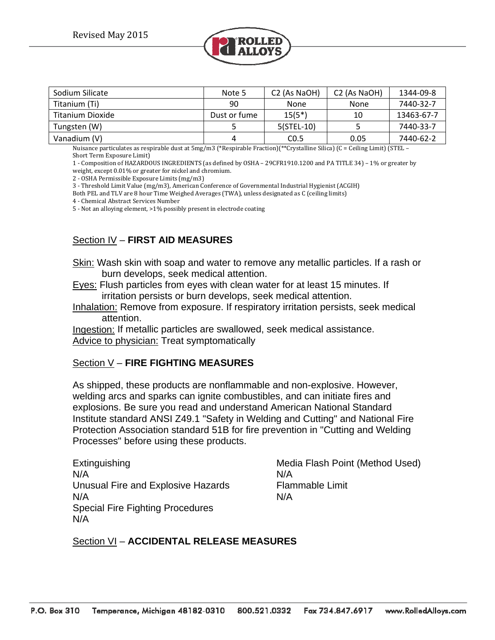

| Sodium Silicate  | Note 5       | C <sub>2</sub> (As NaOH) | C <sub>2</sub> (As NaOH) | 1344-09-8  |
|------------------|--------------|--------------------------|--------------------------|------------|
| Titanium (Ti)    | 90           | None                     | None                     | 7440-32-7  |
| Titanium Dioxide | Dust or fume | $15(5^*)$                | 10                       | 13463-67-7 |
| Tungsten (W)     |              | 5(STEL-10)               |                          | 7440-33-7  |
| Vanadium (V)     |              | CO.5                     | 0.05                     | 7440-62-2  |

Nuisance particulates as respirable dust at  $5mg/m3$  (\*Respirable Fraction)(\*\*Crystalline Silica) (C = Ceiling Limit) (STEL – Short Term Exposure Limit)

1 - Composition of HAZARDOUS INGREDIENTS (as defined by OSHA – 29CFR1910.1200 and PA TITLE 34) – 1% or greater by

weight, except  $0.01\%$  or greater for nickel and chromium.

2 - OSHA Permissible Exposure Limits (mg/m3)

3 - Threshold Limit Value (mg/m3), American Conference of Governmental Industrial Hygienist (ACGIH)

Both PEL and TLV are 8 hour Time Weighed Averages (TWA), unless designated as C (ceiling limits)

4 - Chemical Abstract Services Number

5 - Not an alloying element, >1% possibly present in electrode coating

# Section IV – **FIRST AID MEASURES**

- Skin: Wash skin with soap and water to remove any metallic particles. If a rash or burn develops, seek medical attention.
- Eyes: Flush particles from eyes with clean water for at least 15 minutes. If irritation persists or burn develops, seek medical attention.
- Inhalation: Remove from exposure. If respiratory irritation persists, seek medical attention.

Ingestion: If metallic particles are swallowed, seek medical assistance. Advice to physician: Treat symptomatically

## Section V – **FIRE FIGHTING MEASURES**

As shipped, these products are nonflammable and non-explosive. However, welding arcs and sparks can ignite combustibles, and can initiate fires and explosions. Be sure you read and understand American National Standard Institute standard ANSI Z49.1 "Safety in Welding and Cutting" and National Fire Protection Association standard 51B for fire prevention in "Cutting and Welding Processes" before using these products.

Extinguishing Media Flash Point (Method Used) N/A N/A Unusual Fire and Explosive Hazards Flammable Limit N/A N/A Special Fire Fighting Procedures N/A

## Section VI – **ACCIDENTAL RELEASE MEASURES**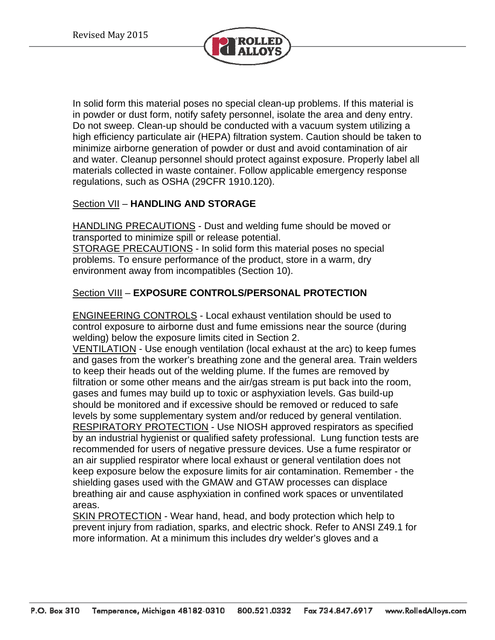

In solid form this material poses no special clean-up problems. If this material is in powder or dust form, notify safety personnel, isolate the area and deny entry. Do not sweep. Clean-up should be conducted with a vacuum system utilizing a high efficiency particulate air (HEPA) filtration system. Caution should be taken to minimize airborne generation of powder or dust and avoid contamination of air and water. Cleanup personnel should protect against exposure. Properly label all materials collected in waste container. Follow applicable emergency response regulations, such as OSHA (29CFR 1910.120).

## Section VII – **HANDLING AND STORAGE**

**HANDLING PRECAUTIONS** - Dust and welding fume should be moved or transported to minimize spill or release potential. STORAGE PRECAUTIONS - In solid form this material poses no special problems. To ensure performance of the product, store in a warm, dry environment away from incompatibles (Section 10).

## Section VIII – **EXPOSURE CONTROLS/PERSONAL PROTECTION**

ENGINEERING CONTROLS - Local exhaust ventilation should be used to control exposure to airborne dust and fume emissions near the source (during welding) below the exposure limits cited in Section 2.

VENTILATION - Use enough ventilation (local exhaust at the arc) to keep fumes and gases from the worker's breathing zone and the general area. Train welders to keep their heads out of the welding plume. If the fumes are removed by filtration or some other means and the air/gas stream is put back into the room, gases and fumes may build up to toxic or asphyxiation levels. Gas build-up should be monitored and if excessive should be removed or reduced to safe levels by some supplementary system and/or reduced by general ventilation. RESPIRATORY PROTECTION - Use NIOSH approved respirators as specified by an industrial hygienist or qualified safety professional. Lung function tests are recommended for users of negative pressure devices. Use a fume respirator or an air supplied respirator where local exhaust or general ventilation does not keep exposure below the exposure limits for air contamination. Remember - the shielding gases used with the GMAW and GTAW processes can displace breathing air and cause asphyxiation in confined work spaces or unventilated areas.

SKIN PROTECTION - Wear hand, head, and body protection which help to prevent injury from radiation, sparks, and electric shock. Refer to ANSI Z49.1 for more information. At a minimum this includes dry welder's gloves and a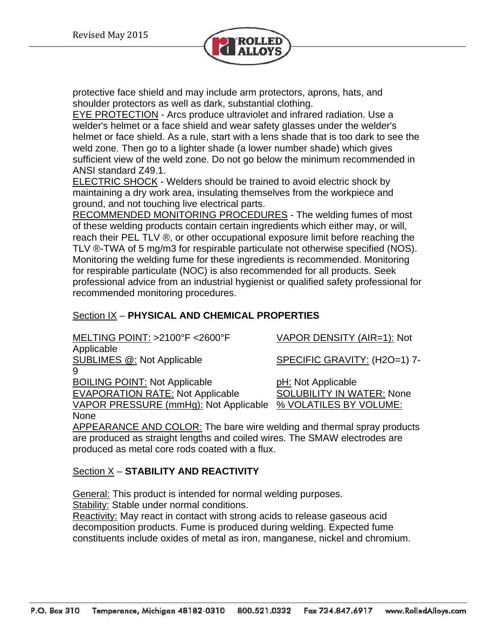

protective face shield and may include arm protectors, aprons, hats, and shoulder protectors as well as dark, substantial clothing.

EYE PROTECTION - Arcs produce ultraviolet and infrared radiation. Use a welder's helmet or a face shield and wear safety glasses under the welder's helmet or face shield. As a rule, start with a lens shade that is too dark to see the weld zone. Then go to a lighter shade (a lower number shade) which gives sufficient view of the weld zone. Do not go below the minimum recommended in ANSI standard Z49.1.

ELECTRIC SHOCK - Welders should be trained to avoid electric shock by maintaining a dry work area, insulating themselves from the workpiece and ground, and not touching live electrical parts.

RECOMMENDED MONITORING PROCEDURES - The welding fumes of most of these welding products contain certain ingredients which either may, or will, reach their PEL TLV ®, or other occupational exposure limit before reaching the TLV ®-TWA of 5 mg/m3 for respirable particulate not otherwise specified (NOS). Monitoring the welding fume for these ingredients is recommended. Monitoring for respirable particulate (NOC) is also recommended for all products. Seek professional advice from an industrial hygienist or qualified safety professional for recommended monitoring procedures.

## Section IX – **PHYSICAL AND CHEMICAL PROPERTIES**

| MELTING POINT: >2100°F <2600°F          | VAPOR DENSITY (AIR=1): Not       |
|-----------------------------------------|----------------------------------|
| Applicable                              |                                  |
| <b>SUBLIMES @: Not Applicable</b>       | SPECIFIC GRAVITY: (H2O=1) 7-     |
| 9                                       |                                  |
| <b>BOILING POINT: Not Applicable</b>    | pH: Not Applicable               |
| <b>EVAPORATION RATE: Not Applicable</b> | <b>SOLUBILITY IN WATER: None</b> |
| VAPOR PRESSURE (mmHg): Not Applicable   | % VOLATILES BY VOLUME:           |
| <b>None</b>                             |                                  |

APPEARANCE AND COLOR: The bare wire welding and thermal spray products are produced as straight lengths and coiled wires. The SMAW electrodes are produced as metal core rods coated with a flux.

# Section X – **STABILITY AND REACTIVITY**

General: This product is intended for normal welding purposes.

Stability: Stable under normal conditions.

Reactivity: May react in contact with strong acids to release gaseous acid decomposition products. Fume is produced during welding. Expected fume constituents include oxides of metal as iron, manganese, nickel and chromium.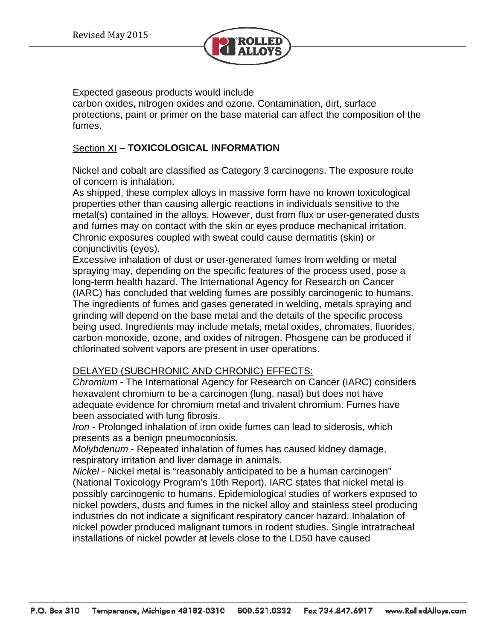

Expected gaseous products would include

carbon oxides, nitrogen oxides and ozone. Contamination, dirt, surface protections, paint or primer on the base material can affect the composition of the fumes.

## Section XI – **TOXICOLOGICAL INFORMATION**

Nickel and cobalt are classified as Category 3 carcinogens. The exposure route of concern is inhalation.

As shipped, these complex alloys in massive form have no known toxicological properties other than causing allergic reactions in individuals sensitive to the metal(s) contained in the alloys. However, dust from flux or user-generated dusts and fumes may on contact with the skin or eyes produce mechanical irritation. Chronic exposures coupled with sweat could cause dermatitis (skin) or conjunctivitis (eyes).

Excessive inhalation of dust or user-generated fumes from welding or metal spraying may, depending on the specific features of the process used, pose a long-term health hazard. The International Agency for Research on Cancer (IARC) has concluded that welding fumes are possibly carcinogenic to humans. The ingredients of fumes and gases generated in welding, metals spraying and grinding will depend on the base metal and the details of the specific process being used. Ingredients may include metals, metal oxides, chromates, fluorides, carbon monoxide, ozone, and oxides of nitrogen. Phosgene can be produced if chlorinated solvent vapors are present in user operations.

## DELAYED (SUBCHRONIC AND CHRONIC) EFFECTS:

*Chromium* - The International Agency for Research on Cancer (IARC) considers hexavalent chromium to be a carcinogen (lung, nasal) but does not have adequate evidence for chromium metal and trivalent chromium. Fumes have been associated with lung fibrosis.

*Iron* - Prolonged inhalation of iron oxide fumes can lead to siderosis, which presents as a benign pneumoconiosis.

*Molybdenum* - Repeated inhalation of fumes has caused kidney damage, respiratory irritation and liver damage in animals.

*Nickel* - Nickel metal is "reasonably anticipated to be a human carcinogen" (National Toxicology Program's 10th Report). IARC states that nickel metal is possibly carcinogenic to humans. Epidemiological studies of workers exposed to nickel powders, dusts and fumes in the nickel alloy and stainless steel producing industries do not indicate a significant respiratory cancer hazard. Inhalation of nickel powder produced malignant tumors in rodent studies. Single intratracheal installations of nickel powder at levels close to the LD50 have caused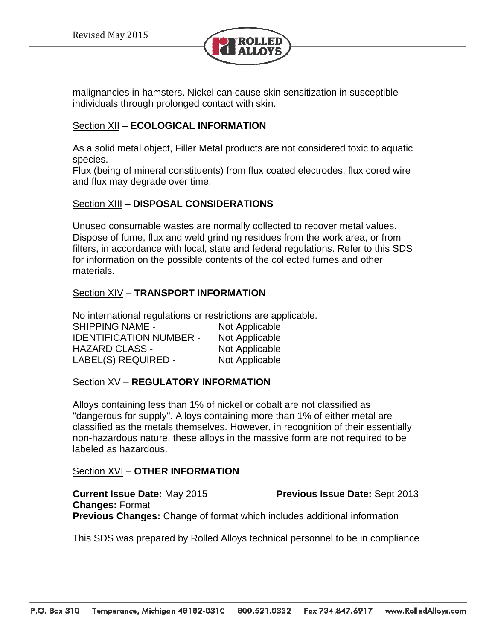

malignancies in hamsters. Nickel can cause skin sensitization in susceptible individuals through prolonged contact with skin.

### Section XII – **ECOLOGICAL INFORMATION**

As a solid metal object, Filler Metal products are not considered toxic to aquatic species.

Flux (being of mineral constituents) from flux coated electrodes, flux cored wire and flux may degrade over time.

### Section XIII – **DISPOSAL CONSIDERATIONS**

Unused consumable wastes are normally collected to recover metal values. Dispose of fume, flux and weld grinding residues from the work area, or from filters, in accordance with local, state and federal regulations. Refer to this SDS for information on the possible contents of the collected fumes and other materials.

### Section XIV – **TRANSPORT INFORMATION**

No international regulations or restrictions are applicable. SHIPPING NAME - Not Applicable IDENTIFICATION NUMBER - Not Applicable HAZARD CLASS - Not Applicable LABEL(S) REQUIRED - Not Applicable

### Section XV – **REGULATORY INFORMATION**

Alloys containing less than 1% of nickel or cobalt are not classified as "dangerous for supply". Alloys containing more than 1% of either metal are classified as the metals themselves. However, in recognition of their essentially non-hazardous nature, these alloys in the massive form are not required to be labeled as hazardous.

#### Section XVI – **OTHER INFORMATION**

**Current Issue Date:** May 2015 **Previous Issue Date:** Sept 2013 **Changes:** Format **Previous Changes:** Change of format which includes additional information

This SDS was prepared by Rolled Alloys technical personnel to be in compliance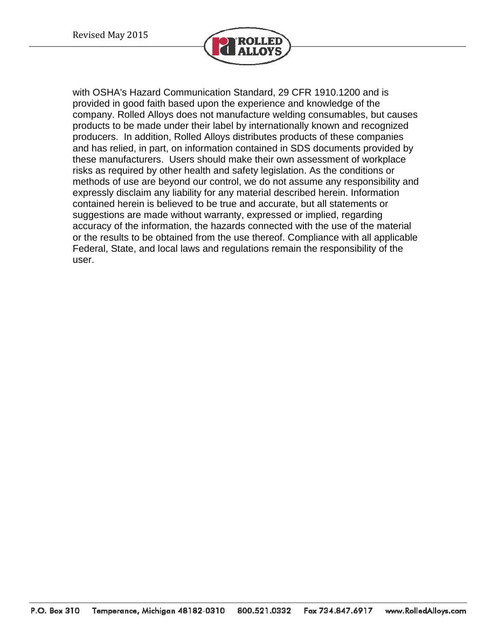

with OSHA's Hazard Communication Standard, 29 CFR 1910.1200 and is provided in good faith based upon the experience and knowledge of the company. Rolled Alloys does not manufacture welding consumables, but causes products to be made under their label by internationally known and recognized producers. In addition, Rolled Alloys distributes products of these companies and has relied, in part, on information contained in SDS documents provided by these manufacturers. Users should make their own assessment of workplace risks as required by other health and safety legislation. As the conditions or methods of use are beyond our control, we do not assume any responsibility and expressly disclaim any liability for any material described herein. Information contained herein is believed to be true and accurate, but all statements or suggestions are made without warranty, expressed or implied, regarding accuracy of the information, the hazards connected with the use of the material or the results to be obtained from the use thereof. Compliance with all applicable Federal, State, and local laws and regulations remain the responsibility of the user.